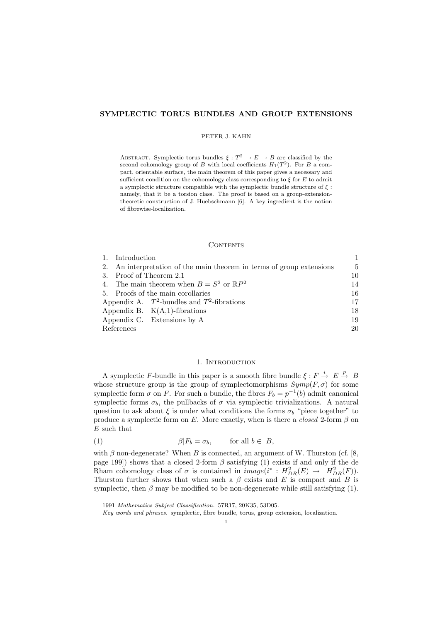# SYMPLECTIC TORUS BUNDLES AND GROUP EXTENSIONS

## PETER J. KAHN

ABSTRACT. Symplectic torus bundles  $\xi : T^2 \to E \to B$  are classified by the second cohomology group of B with local coefficients  $H_1(T^2)$ . For B a compact, orientable surface, the main theorem of this paper gives a necessary and sufficient condition on the cohomology class corresponding to  $\xi$  for  $E$  to admit a symplectic structure compatible with the symplectic bundle structure of  $\xi$ : namely, that it be a torsion class. The proof is based on a group-extensiontheoretic construction of J. Huebschmann [6]. A key ingredient is the notion of fibrewise-localization.

## CONTENTS

|                                  | 1. Introduction         |                                                                       |    |
|----------------------------------|-------------------------|-----------------------------------------------------------------------|----|
|                                  |                         | 2. An interpretation of the main theorem in terms of group extensions | 5  |
|                                  | 3. Proof of Theorem 2.1 |                                                                       | 10 |
|                                  |                         | 4. The main theorem when $B = S^2$ or $\mathbb{R}P^2$                 | 14 |
|                                  |                         | 5. Proofs of the main corollaries                                     | 16 |
|                                  |                         | Appendix A. $T^2$ -bundles and $T^2$ -fibrations                      | 17 |
| Appendix B. $K(A,1)$ -fibrations |                         | 18                                                                    |    |
|                                  |                         | Appendix C. Extensions by A.                                          | 19 |
|                                  | References              |                                                                       | 20 |

# 1. INTRODUCTION

A symplectic F-bundle in this paper is a smooth fibre bundle  $\xi : F \stackrel{i}{\rightarrow} E \stackrel{p}{\rightarrow} B$ whose structure group is the group of symplectomorphisms  $Symp(F, \sigma)$  for some symplectic form  $\sigma$  on F. For such a bundle, the fibres  $F_b = p^{-1}(b)$  admit canonical symplectic forms  $\sigma_b$ , the pullbacks of  $\sigma$  via symplectic trivializations. A natural question to ask about  $\xi$  is under what conditions the forms  $\sigma_b$  "piece together" to produce a symplectic form on E. More exactly, when is there a *closed* 2-form  $\beta$  on E such that

(1) 
$$
\beta | F_b = \sigma_b, \quad \text{for all } b \in B,
$$

with  $\beta$  non-degenerate? When B is connected, an argument of W. Thurston (cf. [8, page 199]) shows that a closed 2-form  $\beta$  satisfying (1) exists if and only if the de Rham cohomology class of  $\sigma$  is contained in  $image(i^* : H^2_{DR}(E) \to H^2_{DR}(F)).$ Thurston further shows that when such a  $\beta$  exists and E is compact and B is symplectic, then  $\beta$  may be modified to be non-degenerate while still satisfying (1).

<sup>1991</sup> Mathematics Subject Classification. 57R17, 20K35, 53D05.

Key words and phrases. symplectic, fibre bundle, torus, group extension, localization.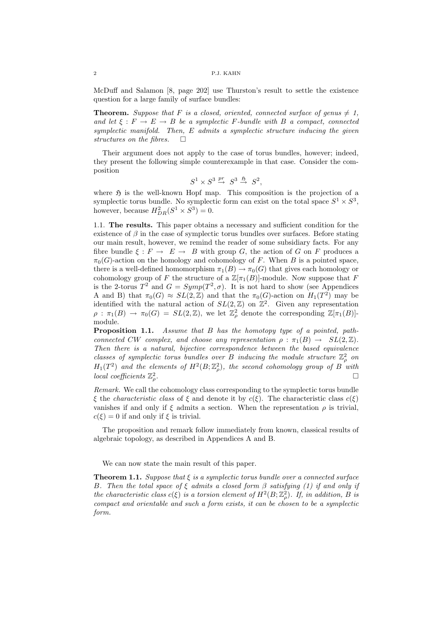McDuff and Salamon [8, page 202] use Thurston's result to settle the existence question for a large family of surface bundles:

**Theorem.** Suppose that F is a closed, oriented, connected surface of genus  $\neq 1$ , and let  $\xi : F \to E \to B$  be a symplectic F-bundle with B a compact, connected symplectic manifold. Then, E admits a symplectic structure inducing the given structures on the fibres.  $\square$ 

Their argument does not apply to the case of torus bundles, however; indeed, they present the following simple counterexample in that case. Consider the composition

$$
S^1\times S^3\stackrel{pr}{\to}\ S^3\stackrel{\mathfrak{H}}{\to}\ S^2,
$$

where  $\mathfrak H$  is the well-known Hopf map. This composition is the projection of a symplectic torus bundle. No symplectic form can exist on the total space  $S^1 \times S^3$ , however, because  $H_{DR}^2(S^1 \times S^3) = 0$ .

1.1. The results. This paper obtains a necessary and sufficient condition for the existence of  $\beta$  in the case of symplectic torus bundles over surfaces. Before stating our main result, however, we remind the reader of some subsidiary facts. For any fibre bundle  $\xi : F \to E \to B$  with group G, the action of G on F produces a  $\pi_0(G)$ -action on the homology and cohomology of F. When B is a pointed space, there is a well-defined homomorphism  $\pi_1(B) \to \pi_0(G)$  that gives each homology or cohomology group of F the structure of a  $\mathbb{Z}[\pi_1(B)]$ -module. Now suppose that F is the 2-torus  $T^2$  and  $G = Symp(T^2, \sigma)$ . It is not hard to show (see Appendices A and B) that  $\pi_0(G) \approx SL(2,\mathbb{Z})$  and that the  $\pi_0(G)$ -action on  $H_1(T^2)$  may be identified with the natural action of  $SL(2, \mathbb{Z})$  on  $\mathbb{Z}^2$ . Given any representation  $\rho : \pi_1(B) \to \pi_0(G) = SL(2,\mathbb{Z})$ , we let  $\mathbb{Z}_{\rho}^2$  denote the corresponding  $\mathbb{Z}[\pi_1(B)]$ module.

Proposition 1.1. Assume that B has the homotopy type of a pointed, pathconnected CW complex, and choose any representation  $\rho : \pi_1(B) \to SL(2, \mathbb{Z})$ . Then there is a natural, bijective correspondence between the based equivalence classes of symplectic torus bundles over B inducing the module structure  $\mathbb{Z}_\rho^2$  on  $H_1(T^2)$  and the elements of  $H^2(B; \mathbb{Z}_\rho^2)$ , the second cohomology group of B with local coefficients  $\mathbb{Z}_{\rho}^2$ .

Remark. We call the cohomology class corresponding to the symplectic torus bundle ξ the *characteristic class* of ξ and denote it by  $c(\xi)$ . The characteristic class  $c(\xi)$ vanishes if and only if  $\xi$  admits a section. When the representation  $\rho$  is trivial,  $c(\xi) = 0$  if and only if  $\xi$  is trivial.

The proposition and remark follow immediately from known, classical results of algebraic topology, as described in Appendices A and B.

We can now state the main result of this paper.

**Theorem 1.1.** Suppose that  $\xi$  is a symplectic torus bundle over a connected surface B. Then the total space of  $\xi$  admits a closed form  $\beta$  satisfying (1) if and only if the characteristic class  $c(\xi)$  is a torsion element of  $H^2(B; \mathbb{Z}_\rho^2)$ . If, in addition, B is compact and orientable and such a form exists, it can be chosen to be a symplectic form.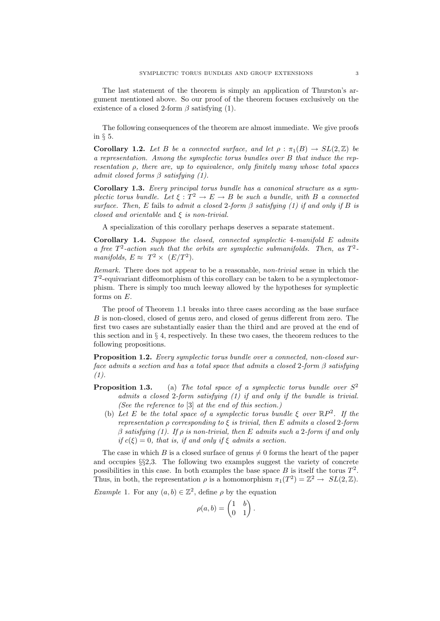The last statement of the theorem is simply an application of Thurston's argument mentioned above. So our proof of the theorem focuses exclusively on the existence of a closed 2-form  $\beta$  satisfying (1).

The following consequences of the theorem are almost immediate. We give proofs in § 5.

**Corollary 1.2.** Let B be a connected surface, and let  $\rho : \pi_1(B) \to SL(2, \mathbb{Z})$  be a representation. Among the symplectic torus bundles over B that induce the representation  $\rho$ , there are, up to equivalence, only finitely many whose total spaces admit closed forms  $\beta$  satisfying (1).

Corollary 1.3. Every principal torus bundle has a canonical structure as a symplectic torus bundle. Let  $\xi : T^2 \to E \to B$  be such a bundle, with B a connected surface. Then, E fails to admit a closed 2-form  $\beta$  satisfying (1) if and only if B is closed and orientable and  $\xi$  is non-trivial.

A specialization of this corollary perhaps deserves a separate statement.

Corollary 1.4. Suppose the closed, connected symplectic 4-manifold E admits a free  $T^2$ -action such that the orbits are symplectic submanifolds. Then, as  $T^2$ manifolds,  $E \approx T^2 \times (E/T^2)$ .

Remark. There does not appear to be a reasonable, non-trivial sense in which the  $T^2$ -equivariant diffeomorphism of this corollary can be taken to be a symplectomorphism. There is simply too much leeway allowed by the hypotheses for symplectic forms on  $E$ .

The proof of Theorem 1.1 breaks into three cases according as the base surface B is non-closed, closed of genus zero, and closed of genus different from zero. The first two cases are substantially easier than the third and are proved at the end of this section and in § 4, respectively. In these two cases, the theorem reduces to the following propositions.

**Proposition 1.2.** Every symplectic torus bundle over a connected, non-closed surface admits a section and has a total space that admits a closed 2-form  $\beta$  satisfying  $(1).$ 

- **Proposition 1.3.** (a) The total space of a symplectic torus bundle over  $S^2$ admits a closed 2-form satisfying (1) if and only if the bundle is trivial. (See the reference to [3] at the end of this section.)
	- (b) Let E be the total space of a symplectic torus bundle  $\xi$  over  $\mathbb{R}P^2$ . If the representation ρ corresponding to ξ is trivial, then E admits a closed 2-form  $\beta$  satisfying (1). If  $\rho$  is non-trivial, then E admits such a 2-form if and only if  $c(\xi) = 0$ , that is, if and only if  $\xi$  admits a section.

The case in which B is a closed surface of genus  $\neq 0$  forms the heart of the paper and occupies §§2,3. The following two examples suggest the variety of concrete possibilities in this case. In both examples the base space  $B$  is itself the torus  $T^2$ . Thus, in both, the representation  $\rho$  is a homomorphism  $\pi_1(T^2) = \mathbb{Z}^2 \to SL(2,\mathbb{Z})$ .

*Example 1.* For any  $(a, b) \in \mathbb{Z}^2$ , define  $\rho$  by the equation

$$
\rho(a,b) = \begin{pmatrix} 1 & b \\ 0 & 1 \end{pmatrix}.
$$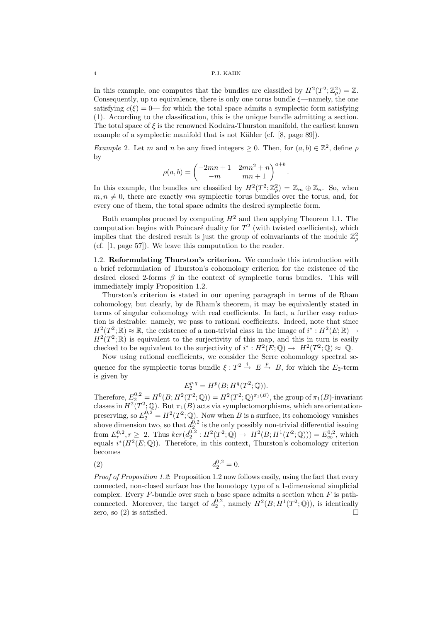In this example, one computes that the bundles are classified by  $H^2(T^2; \mathbb{Z}_{\rho}^2) = \mathbb{Z}$ . Consequently, up to equivalence, there is only one torus bundle  $\xi$ —namely, the one satisfying  $c(\xi) = 0$ — for which the total space admits a symplectic form satisfying (1). According to the classification, this is the unique bundle admitting a section. The total space of  $\xi$  is the renowned Kodaira-Thurston manifold, the earliest known example of a symplectic manifold that is not Kähler (cf.  $[8, \text{page 89}]$ ).

*Example 2.* Let m and n be any fixed integers  $\geq 0$ . Then, for  $(a, b) \in \mathbb{Z}^2$ , define p by

$$
\rho(a,b) = \begin{pmatrix} -2mn+1 & 2mn^2+n \\ -m & mn+1 \end{pmatrix}^{a+b}.
$$

In this example, the bundles are classified by  $H^2(T^2; \mathbb{Z}_\rho^2) = \mathbb{Z}_m \oplus \mathbb{Z}_n$ . So, when  $m, n \neq 0$ , there are exactly mn symplectic torus bundles over the torus, and, for every one of them, the total space admits the desired symplectic form.

Both examples proceed by computing  $H^2$  and then applying Theorem 1.1. The computation begins with Poincaré duality for  $T^2$  (with twisted coefficients), which implies that the desired result is just the group of coinvariants of the module  $\mathbb{Z}_\rho^2$ (cf. [1, page 57]). We leave this computation to the reader.

1.2. Reformulating Thurston's criterion. We conclude this introduction with a brief reformulation of Thurston's cohomology criterion for the existence of the desired closed 2-forms  $\beta$  in the context of symplectic torus bundles. This will immediately imply Proposition 1.2.

Thurston's criterion is stated in our opening paragraph in terms of de Rham cohomology, but clearly, by de Rham's theorem, it may be equivalently stated in terms of singular cohomology with real coefficients. In fact, a further easy reduction is desirable: namely, we pass to rational coefficients. Indeed, note that since  $H^2(T^2; \mathbb{R}) \approx \mathbb{R}$ , the existence of a non-trivial class in the image of  $i^* : H^2(E; \mathbb{R}) \to$  $H^2(T^2; \mathbb{R})$  is equivalent to the surjectivity of this map, and this in turn is easily checked to be equivalent to the surjectivity of  $i^* : H^2(E; \mathbb{Q}) \to H^2(T^2; \mathbb{Q}) \approx \mathbb{Q}$ .

Now using rational coefficients, we consider the Serre cohomology spectral sequence for the symplectic torus bundle  $\xi : T^2 \stackrel{i}{\to} E \stackrel{p}{\to} B$ , for which the  $E_2$ -term is given by

$$
E_2^{p,q}=H^p(B;H^q(T^2;\mathbb{Q})).
$$

Therefore,  $E_2^{0,2} = H^0(B; H^2(T^2; \mathbb{Q})) = H^2(T^2; \mathbb{Q})^{\pi_1(B)}$ , the group of  $\pi_1(B)$ -invariant classes in  $H^2(T^2; \mathbb{Q})$ . But  $\pi_1(B)$  acts via symplectomorphisms, which are orientationpreserving, so  $E_2^{0,2} = H^2(T^2; \mathbb{Q})$ . Now when B is a surface, its cohomology vanishes above dimension two, so that  $d_2^{0,2}$  is the only possibly non-trivial differential issuing from  $E_r^{0,2}, r \ge 2$ . Thus  $\ker(d_2^{0,2} : H^2(T^2; \mathbb{Q}) \to H^2(B; H^1(T^2; \mathbb{Q}))) = E_{\infty}^{0,2}$ , which equals  $i^*(H^2(E; \mathbb{Q}))$ . Therefore, in this context, Thurston's cohomology criterion becomes

(2) 
$$
d_2^{0,2} = 0.
$$

Proof of Proposition 1.2: Proposition 1.2 now follows easily, using the fact that every connected, non-closed surface has the homotopy type of a 1-dimensional simplicial complex. Every  $F$ -bundle over such a base space admits a section when  $F$  is pathconnected. Moreover, the target of  $d_2^{0,2}$ , namely  $H^2(B; H^1(T^2; \mathbb{Q}))$ , is identically zero, so  $(2)$  is satisfied.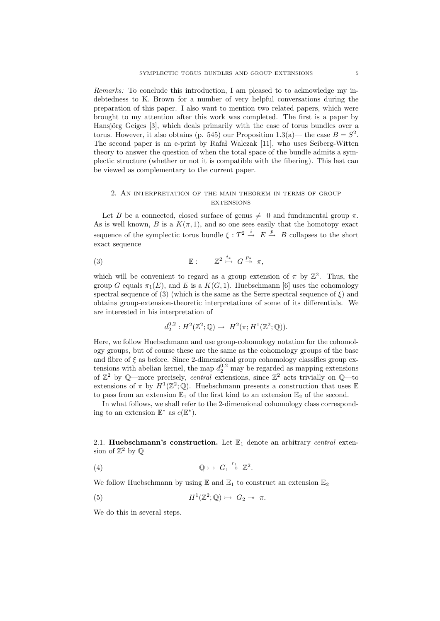Remarks: To conclude this introduction, I am pleased to to acknowledge my indebtedness to K. Brown for a number of very helpful conversations during the preparation of this paper. I also want to mention two related papers, which were brought to my attention after this work was completed. The first is a paper by Hansjörg Geiges [3], which deals primarily with the case of torus bundles over a torus. However, it also obtains (p. 545) our Proposition 1.3(a)— the case  $B = S^2$ . The second paper is an e-print by Rafał Walczak [11], who uses Seiberg-Witten theory to answer the question of when the total space of the bundle admits a symplectic structure (whether or not it is compatible with the fibering). This last can be viewed as complementary to the current paper.

# 2. An interpretation of the main theorem in terms of group **EXTENSIONS**

Let B be a connected, closed surface of genus  $\neq 0$  and fundamental group  $\pi$ . As is well known, B is a  $K(\pi, 1)$ , and so one sees easily that the homotopy exact sequence of the symplectic torus bundle  $\xi : T^2 \stackrel{i}{\to} E \stackrel{p}{\to} B$  collapses to the short exact sequence

$$
\mathbb{E}: \qquad \mathbb{Z}^2 \overset{i_*}{\rightarrow} G \overset{p_*}{\rightarrow} \pi,
$$

which will be convenient to regard as a group extension of  $\pi$  by  $\mathbb{Z}^2$ . Thus, the group G equals  $\pi_1(E)$ , and E is a  $K(G, 1)$ . Huebschmann [6] uses the cohomology spectral sequence of (3) (which is the same as the Serre spectral sequence of  $\xi$ ) and obtains group-extension-theoretic interpretations of some of its differentials. We are interested in his interpretation of

$$
d_2^{0,2}: H^2({\mathbb{Z}}^2;{\mathbb{Q}}) \to H^2(\pi;H^1({\mathbb{Z}}^2;{\mathbb{Q}})).
$$

Here, we follow Huebschmann and use group-cohomology notation for the cohomology groups, but of course these are the same as the cohomology groups of the base and fibre of  $\xi$  as before. Since 2-dimensional group cohomology classifies group extensions with abelian kernel, the map  $d_2^{0,2}$  may be regarded as mapping extensions of  $\mathbb{Z}^2$  by Q—more precisely, *central* extensions, since  $\mathbb{Z}^2$  acts trivially on Q—to extensions of  $\pi$  by  $H^1(\mathbb{Z}^2;\mathbb{Q})$ . Huebschmann presents a construction that uses  $\mathbb E$ to pass from an extension  $\mathbb{E}_1$  of the first kind to an extension  $\mathbb{E}_2$  of the second.

In what follows, we shall refer to the 2-dimensional cohomology class corresponding to an extension  $\mathbb{E}^*$  as  $c(\mathbb{E}^*)$ .

2.1. Huebschmann's construction. Let  $\mathbb{E}_1$  denote an arbitrary central extension of  $\mathbb{Z}^2$  by  $\mathbb{Q}$ 

(4) Q G<sup>1</sup> <sup>r</sup><sup>1</sup> Z 2 .

We follow Huebschmann by using  $\mathbb{E}$  and  $\mathbb{E}_1$  to construct an extension  $\mathbb{E}_2$ 

(5) 
$$
H^1(\mathbb{Z}^2;\mathbb{Q}) \rightarrow G_2 \rightarrow \pi.
$$

We do this in several steps.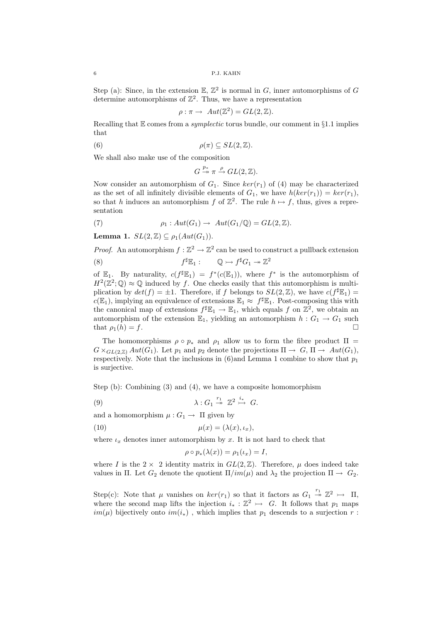Step (a): Since, in the extension  $\mathbb{E}, \mathbb{Z}^2$  is normal in G, inner automorphisms of G determine automorphisms of  $\mathbb{Z}^2$ . Thus, we have a representation

$$
\rho : \pi \to Aut(\mathbb{Z}^2) = GL(2, \mathbb{Z}).
$$

Recalling that  $E$  comes from a *symplectic* torus bundle, our comment in §1.1 implies that

(6) 
$$
\rho(\pi) \subseteq SL(2,\mathbb{Z}).
$$

We shall also make use of the composition

$$
G \xrightarrow{p_*} \pi \xrightarrow{\rho} GL(2, \mathbb{Z}).
$$

Now consider an automorphism of  $G_1$ . Since  $ker(r_1)$  of (4) may be characterized as the set of all infinitely divisible elements of  $G_1$ , we have  $h(ker(r_1)) = ker(r_1)$ , so that h induces an automorphism f of  $\mathbb{Z}^2$ . The rule  $h \mapsto f$ , thus, gives a representation

(7) 
$$
\rho_1: Aut(G_1) \to Aut(G_1/\mathbb{Q}) = GL(2,\mathbb{Z}).
$$

Lemma 1.  $SL(2,\mathbb{Z}) \subseteq \rho_1(Aut(G_1)).$ 

*Proof.* An automorphism  $f : \mathbb{Z}^2 \to \mathbb{Z}^2$  can be used to construct a pullback extension  $(8)$  f  ${}^{\sharp}E_1: \qquad \mathbb{Q} \rightarrowtail f^{\sharp}G_1 \twoheadrightarrow \mathbb{Z}^2$ 

of  $\mathbb{E}_1$ . By naturality,  $c(f^{\sharp} \mathbb{E}_1) = f^*(c(\mathbb{E}_1))$ , where  $f^*$  is the automorphism of  $H^2(\mathbb{Z}^2;\mathbb{Q})\approx\mathbb{Q}$  induced by f. One checks easily that this automorphism is multiplication by  $det(f) = \pm 1$ . Therefore, if f belongs to  $SL(2, \mathbb{Z})$ , we have  $c(f^{\sharp} \mathbb{E}_1)$  $c(\mathbb{E}_1)$ , implying an equivalence of extensions  $\mathbb{E}_1 \approx f^{\sharp} \mathbb{E}_1$ . Post-composing this with the canonical map of extensions  $f^{\sharp} \mathbb{E}_1 \to \mathbb{E}_1$ , which equals f on  $\mathbb{Z}^2$ , we obtain an automorphism of the extension  $\mathbb{E}_1$ , yielding an automorphism  $h : G_1 \to G_1$  such that  $\rho_1(h) = f$ .

The homomorphisms  $\rho \circ p_*$  and  $\rho_1$  allow us to form the fibre product  $\Pi =$  $G \times_{GL(2,\mathbb{Z})} Aut(G_1)$ . Let  $p_1$  and  $p_2$  denote the projections  $\Pi \to G, \Pi \to Aut(G_1)$ , respectively. Note that the inclusions in  $(6)$  and Lemma 1 combine to show that  $p_1$ is surjective.

Step (b): Combining (3) and (4), we have a composite homomorphism

(9) 
$$
\lambda: G_1 \stackrel{r_1}{\twoheadrightarrow} \mathbb{Z}^2 \stackrel{i_*}{\rightarrow} G.
$$

and a homomorphism  $\mu: G_1 \to \Pi$  given by

(10) 
$$
\mu(x) = (\lambda(x), \iota_x),
$$

where  $\iota_x$  denotes inner automorphism by x. It is not hard to check that

$$
\rho \circ p_*(\lambda(x)) = \rho_1(\iota_x) = I,
$$

where I is the  $2 \times 2$  identity matrix in  $GL(2,\mathbb{Z})$ . Therefore,  $\mu$  does indeed take values in Π. Let  $G_2$  denote the quotient  $\Pi / im(\mu)$  and  $\lambda_2$  the projection  $\Pi \to G_2$ .

Step(c): Note that  $\mu$  vanishes on  $ker(r_1)$  so that it factors as  $G_1 \stackrel{r_1}{\rightarrow} \mathbb{Z}^2 \rightarrow \Pi$ , where the second map lifts the injection  $i_* : \mathbb{Z}^2 \to G$ . It follows that  $p_1$  maps  $im(\mu)$  bijectively onto  $im(i_*)$ , which implies that  $p_1$  descends to a surjection r: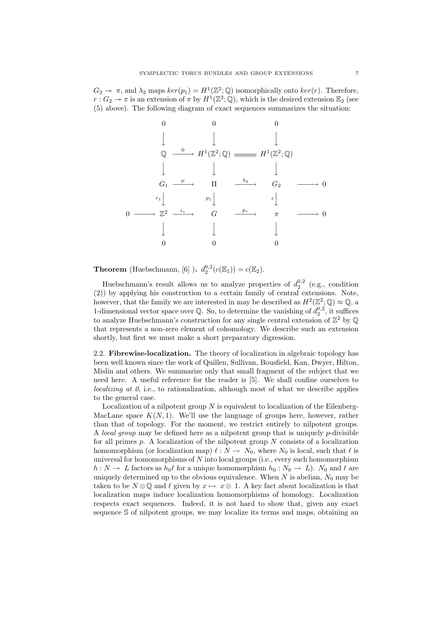$G_2 \twoheadrightarrow \pi$ , and  $\lambda_2$  maps  $ker(p_1) = H^1(\mathbb{Z}^2; \mathbb{Q})$  isomorphically onto  $ker(r)$ . Therefore,  $r: G_2 \to \pi$  is an extension of  $\pi$  by  $H^1(\mathbb{Z}^2; \mathbb{Q})$ , which is the desired extension  $\mathbb{E}_2$  (see (5) above). The following diagram of exact sequences summarizes the situation:

0 0 0 y y y Q <sup>0</sup> −−−−→ H<sup>1</sup> (Z 2 ; Q) H<sup>1</sup> (Z 2 ; Q) y y y G<sup>1</sup> µ −−−−→ Π <sup>λ</sup><sup>2</sup> −−−−→ G<sup>2</sup> −−−−→ 0 r1 <sup>y</sup> <sup>p</sup><sup>1</sup> <sup>y</sup> <sup>r</sup> y 0 −−−−→ Z 2 <sup>i</sup><sup>∗</sup> −−−−→ G <sup>p</sup><sup>∗</sup> −−−−→ π −−−−→ 0 y y y 0 0 0

**Theorem** (Huebschmann, [6] ).  $d_2^{0,2}(c(\mathbb{E}_1)) = c(\mathbb{E}_2)$ .

Huebschmann's result allows us to analyze properties of  $d_2^{0,2}$  (e.g., condition (2)) by applying his construction to a certain family of central extensions. Note, however, that the family we are interested in may be described as  $H^2(\mathbb{Z}^2;\mathbb{Q})\approx\mathbb{Q}$ , a 1-dimensional vector space over  $\mathbb{Q}$ . So, to determine the vanishing of  $d_2^{0,2}$ , it suffices to analyze Huebschmann's construction for any single central extension of  $\mathbb{Z}^2$  by  $\mathbb{Q}$ that represents a non-zero element of cohomology. We describe such an extension shortly, but first we must make a short preparatory digression.

2.2. Fibrewise-localization. The theory of localization in algebraic topology has been well known since the work of Quillen, Sullivan, Bousfield, Kan, Dwyer, Hilton, Mislin and others. We summarize only that small fragment of the subject that we need here. A useful reference for the reader is [5]. We shall confine ourselves to localizing at  $\theta$ , i.e., to rationalization, although most of what we describe applies to the general case.

Localization of a nilpotent group  $N$  is equivalent to localization of the Eilenberg-MacLane space  $K(N, 1)$ . We'll use the language of groups here, however, rather than that of topology. For the moment, we restrict entirely to nilpotent groups. A local group may be defined here as a nilpotent group that is uniquely p-divisible for all primes  $p$ . A localization of the nilpotent group  $N$  consists of a localization homomorphism (or localization map)  $\ell : N \to N_0$ , where  $N_0$  is local, such that  $\ell$  is universal for homomorphisms of  $N$  into local groups (i.e., every such homomorphism  $h: N \to L$  factors as  $h_0\ell$  for a unique homomorphism  $h_0: N_0 \to L$ ). N<sub>0</sub> and  $\ell$  are uniquely determined up to the obvious equivalence. When  $N$  is abelian,  $N_0$  may be taken to be  $N \otimes \mathbb{Q}$  and  $\ell$  given by  $x \mapsto x \otimes 1$ . A key fact about localization is that localization maps induce localization homomorphisms of homology. Localization respects exact sequences. Indeed, it is not hard to show that, given any exact sequence S of nilpotent groups, we may localize its terms and maps, obtaining an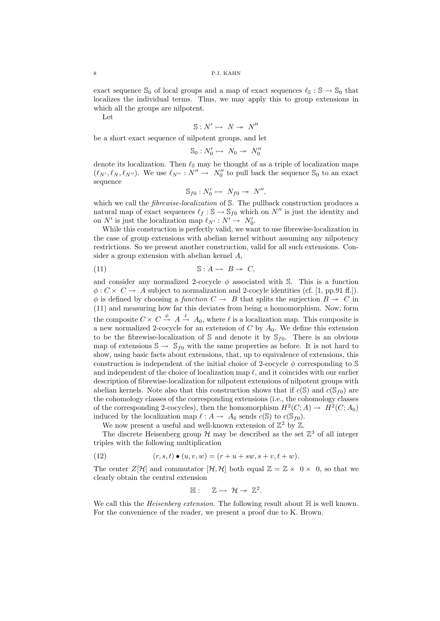exact sequence  $\mathcal{S}_0$  of local groups and a map of exact sequences  $\ell_{\mathcal{S}} : \mathcal{S} \to \mathcal{S}_0$  that localizes the individual terms. Thus, we may apply this to group extensions in which all the groups are nilpotent.

Let

$$
\mathbb{S}: N' \rightarrowtail N \twoheadrightarrow N''
$$

be a short exact sequence of nilpotent groups, and let

$$
\mathbb{S}_0: N'_0 \rightarrowtail N_0 \twoheadrightarrow N''_0
$$

denote its localization. Then  $\ell_{\mathbb{S}}$  may be thought of as a triple of localization maps  $(\ell_{N'}, \ell_N, \ell_{N''})$ . We use  $\ell_{N''}: N'' \to N_0''$  to pull back the sequence  $\mathcal{S}_0$  to an exact sequence

$$
\mathbb{S}_{f0}: N'_0 \rightarrowtail N_{f0} \twoheadrightarrow N'',
$$

which we call the *fibrewise-localization* of S. The pullback construction produces a natural map of exact sequences  $\ell_f : \mathbb{S} \to \mathbb{S}_{f0}$  which on  $N''$  is just the identity and on N' is just the localization map  $\ell_{N'} : N' \to N'_0$ .

While this construction is perfectly valid, we want to use fibrewise-localization in the case of group extensions with abelian kernel without assuming any nilpotency restrictions. So we present another construction, valid for all such extensions. Consider a group extension with abelian kernel A,

(11) S : A B C,

and consider any normalized 2-cocycle  $\phi$  associated with S. This is a function  $\phi: C \times C \rightarrow A$  subject to normalization and 2-cocyle identities (cf. [1, pp.91 ff.]).  $\phi$  is defined by choosing a function  $C \to B$  that splits the surjection  $B \to C$  in (11) and measuring how far this deviates from being a homomorphism. Now, form the composite  $C \times C \stackrel{\phi}{\rightarrow} A \stackrel{\ell}{\rightarrow} A_0$ , where  $\ell$  is a localization map. This composite is a new normalized 2-cocycle for an extension of C by  $A_0$ . We define this extension to be the fibrewise-localization of S and denote it by  $\mathcal{S}_{f0}$ . There is an obvious map of extensions  $\mathbb{S} \to \mathbb{S}_{f0}$  with the same properties as before. It is not hard to show, using basic facts about extensions, that, up to equivalence of extensions, this construction is independent of the initial choice of 2-cocycle  $\phi$  corresponding to S and independent of the choice of localization map  $\ell$ , and it coincides with our earlier description of fibrewise-localization for nilpotent extensions of nilpotent groups with abelian kernels. Note also that this construction shows that if  $c(S)$  and  $c(S_{f0})$  are the cohomology classes of the corresponding extensions (i.e., the cohomology classes of the corresponding 2-cocycles), then the homomorphism  $H^2(C; A) \to H^2(C; A_0)$ induced by the localization map  $\ell : A \to A_0$  sends  $c(\mathbb{S})$  to  $c(\mathbb{S}_{f0})$ .

We now present a useful and well-known extension of  $\mathbb{Z}^2$  by  $\mathbb{Z}$ .

The discrete Heisenberg group  $\mathcal H$  may be described as the set  $\mathbb Z^3$  of all integer triples with the following multiplication

(12) 
$$
(r, s, t) \bullet (u, v, w) = (r + u + sw, s + v, t + w).
$$

The center  $Z[\mathcal{H}]$  and commutator  $[\mathcal{H}, \mathcal{H}]$  both equal  $\mathbb{Z} = \mathbb{Z} \times 0 \times 0$ , so that we clearly obtain the central extension

$$
\mathbb{H}:\quad \ \, \mathbb{Z}\rightarrowtail\,\,\mathcal{H}\twoheadrightarrow\,\,\mathbb{Z}^2.
$$

We call this the *Heisenberg extension*. The following result about  $H$  is well known. For the convenience of the reader, we present a proof due to K. Brown.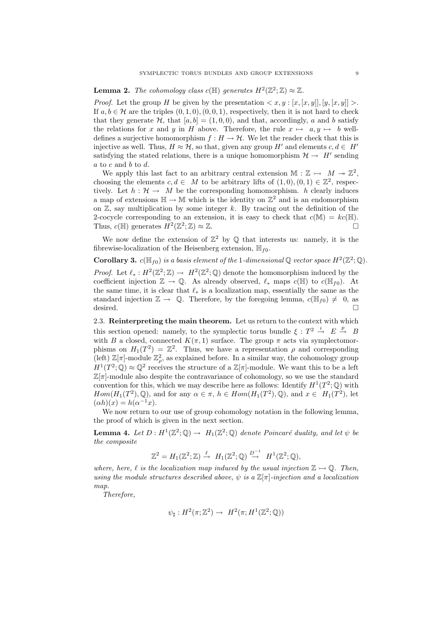# **Lemma 2.** The cohomology class  $c(\mathbb{H})$  generates  $H^2(\mathbb{Z}^2;\mathbb{Z}) \approx \mathbb{Z}$ .

*Proof.* Let the group H be given by the presentation  $\langle x, y : [x, [x, y], [y, [x, y]] \rangle$ . If  $a, b \in \mathcal{H}$  are the triples  $(0, 1, 0), (0, 0, 1)$ , respectively, then it is not hard to check that they generate  $\mathcal{H}$ , that  $[a, b] = (1, 0, 0)$ , and that, accordingly, a and b satisfy the relations for x and y in H above. Therefore, the rule  $x \mapsto a, y \mapsto b$  welldefines a surjective homomorphism  $f : H \to H$ . We let the reader check that this is injective as well. Thus,  $H \approx H$ , so that, given any group H' and elements  $c, d \in H'$ satisfying the stated relations, there is a unique homomorphism  $\mathcal{H} \to H'$  sending  $a$  to  $c$  and  $b$  to  $d$ .

We apply this last fact to an arbitrary central extension  $M : \mathbb{Z} \rightarrow M \rightarrow \mathbb{Z}^2$ , choosing the elements  $c, d \in M$  to be arbitrary lifts of  $(1,0), (0,1) \in \mathbb{Z}^2$ , respectively. Let  $h : \mathcal{H} \to M$  be the corresponding homomorphism. h clearly induces a map of extensions  $\mathbb{H} \to \mathbb{M}$  which is the identity on  $\mathbb{Z}^2$  and is an endomorphism on  $\mathbb{Z}$ , say multiplication by some integer k. By tracing out the definition of the 2-cocycle corresponding to an extension, it is easy to check that  $c(\mathbb{M}) = kc(\mathbb{H})$ . Thus,  $c(\mathbb{H})$  generates  $H^2(\mathbb{Z}^2;\mathbb{Z})\approx \mathbb{Z}$ .

We now define the extension of  $\mathbb{Z}^2$  by  $\mathbb Q$  that interests us: namely, it is the fibrewise-localization of the Heisenberg extension,  $\mathbb{H}_{f0}$ .

**Corollary 3.**  $c(\mathbb{H}_{f0})$  is a basis element of the 1-dimensional Q vector space  $H^2(\mathbb{Z}^2;\mathbb{Q})$ .

*Proof.* Let  $\ell_* : H^2(\mathbb{Z}^2; \mathbb{Z}) \to H^2(\mathbb{Z}^2; \mathbb{Q})$  denote the homomorphism induced by the coefficient injection  $\mathbb{Z} \to \mathbb{Q}$ . As already observed,  $\ell_*$  maps  $c(\mathbb{H})$  to  $c(\mathbb{H}_{f0})$ . At the same time, it is clear that  $\ell_*$  is a localization map, essentially the same as the standard injection  $\mathbb{Z} \to \mathbb{Q}$ . Therefore, by the foregoing lemma,  $c(\mathbb{H}_{f0}) \neq 0$ , as desired.

2.3. Reinterpreting the main theorem. Let us return to the context with which this section opened: namely, to the symplectic torus bundle  $\xi : T^2 \stackrel{i}{\rightarrow} E \stackrel{p}{\rightarrow} B$ with B a closed, connected  $K(\pi, 1)$  surface. The group  $\pi$  acts via symplectomorphisms on  $H_1(T^2) = \mathbb{Z}^2$ . Thus, we have a representation  $\rho$  and corresponding (left)  $\mathbb{Z}[\pi]$ -module  $\mathbb{Z}_\rho^2$ , as explained before. In a similar way, the cohomology group  $H^1(T^2; \mathbb{Q}) \approx \mathbb{Q}^2$  receives the structure of a  $\mathbb{Z}[\pi]$ -module. We want this to be a left  $\mathbb{Z}[\pi]$ -module also despite the contravariance of cohomology, so we use the standard convention for this, which we may describe here as follows: Identify  $H^1(T^2; \mathbb{Q})$  with  $Hom(H_1(T^2), \mathbb{Q})$ , and for any  $\alpha \in \pi$ ,  $h \in Hom(H_1(T^2), \mathbb{Q})$ , and  $x \in H_1(T^2)$ , let  $(\alpha h)(x) = h(\alpha^{-1}x).$ 

We now return to our use of group cohomology notation in the following lemma, the proof of which is given in the next section.

**Lemma 4.** Let  $D: H^1(\mathbb{Z}^2; \mathbb{Q}) \to H_1(\mathbb{Z}^2; \mathbb{Q})$  denote Poincaré duality, and let  $\psi$  be the composite

$$
\mathbb{Z}^2 = H_1(\mathbb{Z}^2; \mathbb{Z}) \xrightarrow{\ell} H_1(\mathbb{Z}^2; \mathbb{Q}) \xrightarrow{D^{-1}} H^1(\mathbb{Z}^2; \mathbb{Q}),
$$

where, here,  $\ell$  is the localization map induced by the usual injection  $\mathbb{Z} \to \mathbb{Q}$ . Then, using the module structures described above,  $\psi$  is a  $\mathbb{Z}[\pi]$ -injection and a localization map.

Therefore,

$$
\psi_{\sharp}: H^2(\pi; \mathbb{Z}^2) \to H^2(\pi; H^1(\mathbb{Z}^2; \mathbb{Q}))
$$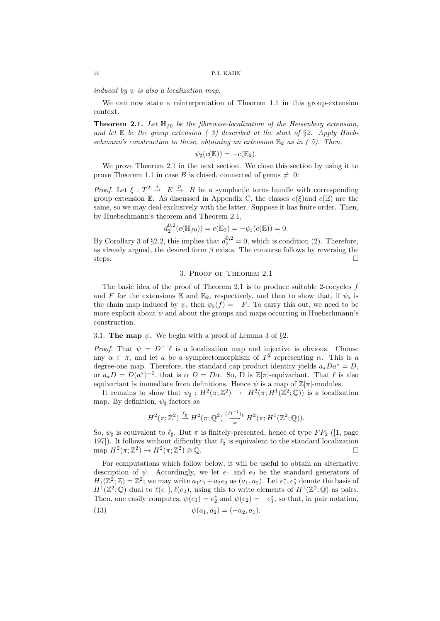induced by  $\psi$  is also a localization map.

We can now state a reinterpretation of Theorem 1.1 in this group-extension context.

**Theorem 2.1.** Let  $\mathbb{H}_{f0}$  be the fibrewise-localization of the Heisenberg extension, and let  $E$  be the group extension (3) described at the start of §2. Apply Huebschmann's construction to these, obtaining an extension  $\mathbb{E}_2$  as in (5). Then,

$$
\psi_{\sharp}(c(\mathbb{E})) = -c(\mathbb{E}_2).
$$

We prove Theorem 2.1 in the next section. We close this section by using it to prove Theorem 1.1 in case B is closed, connected of genus  $\neq 0$ :

*Proof.* Let  $\xi : T^2 \stackrel{i}{\rightarrow} E \stackrel{p}{\rightarrow} B$  be a symplectic torus bundle with corresponding group extension E. As discussed in Appendix C, the classes  $c(\xi)$  and  $c(\mathbb{E})$  are the same, so we may deal exclusively with the latter. Suppose it has finite order. Then, by Huebschmann's theorem and Theorem 2.1,

$$
d_2^{0,2}(c(\mathbb{H}_{f0})) = c(\mathbb{E}_2) = -\psi_{\sharp}(c(\mathbb{E})) = 0.
$$

By Corollary 3 of §2.2, this implies that  $d_2^{0,2} = 0$ , which is condition (2). Therefore, as already argued, the desired form  $\beta$  exists. The converse follows by reversing the steps.  $\Box$ 

## 3. Proof of Theorem 2.1

The basic idea of the proof of Theorem 2.1 is to produce suitable 2-cocycles f and F for the extensions  $\mathbb E$  and  $\mathbb E_2$ , respectively, and then to show that, if  $\psi_{\flat}$  is the chain map induced by  $\psi$ , then  $\psi_{\nu}(f) = -F$ . To carry this out, we need to be more explicit about  $\psi$  and about the groups and maps occurring in Huebschmann's construction.

# 3.1. The map  $\psi$ . We begin with a proof of Lemma 3 of §2.

*Proof.* That  $\psi = D^{-1}\ell$  is a localization map and injective is obvious. Choose any  $\alpha \in \pi$ , and let a be a symplectomorphism of  $T^2$  representing  $\alpha$ . This is a degree-one map. Therefore, the standard cap product identity yields  $a_*Da^* = D$ , or  $a_*D = D(a^*)^{-1}$ , that is  $\alpha D = D\alpha$ . So, D is  $\mathbb{Z}[\pi]$ -equivariant. That  $\ell$  is also equivariant is immediate from definitions. Hence  $\psi$  is a map of  $\mathbb{Z}[\pi]$ -modules.

It remains to show that  $\psi_{\sharp}: H^2(\pi;\mathbb{Z}^2) \to H^2(\pi;H^1(\mathbb{Z}^2;\mathbb{Q}))$  is a localization map. By definition,  $\psi_{\sharp}$  factors as

$$
H^2(\pi;\mathbb{Z}^2) \stackrel{\ell_{\sharp}}{\to} H^2(\pi;\mathbb{Q}^2) \stackrel{(D^{-1})_{\sharp}}{\approx} H^2(\pi;H^1(\mathbb{Z}^2;\mathbb{Q})).
$$

So,  $\psi_{\sharp}$  is equivalent to  $\ell_{\sharp}$ . But  $\pi$  is finitely-presented, hence of type FP<sub>2</sub> ([1, page 197]). It follows without difficulty that  $\ell_{\sharp}$  is equivalent to the standard localization map  $H^2(\pi;\mathbb{Z}^2)\to H^2(\pi;\mathbb{Z}^2)$ ) ⊗  $\mathbb{Q}$ .

For computations which follow below, it will be useful to obtain an alternative description of  $\psi$ . Accordingly, we let  $e_1$  and  $e_2$  be the standard generators of  $H_1(\mathbb{Z}^2; \mathbb{Z}) = \mathbb{Z}^2$ ; we may write  $a_1e_1 + a_2e_2$  as  $(a_1, a_2)$ . Let  $e_1^*, e_2^*$  denote the basis of  $H^1(\mathbb{Z}^2;\mathbb{Q})$  dual to  $\ell(e_1), \ell(e_2)$ , using this to write elements of  $H^1(\mathbb{Z}^2;\mathbb{Q})$  as pairs. Then, one easily computes,  $\psi(e_1) = e_2^*$  and  $\psi(e_2) = -e_1^*$ , so that, in pair notation,

(13) 
$$
\psi(a_1, a_2) = (-a_2, a_1).
$$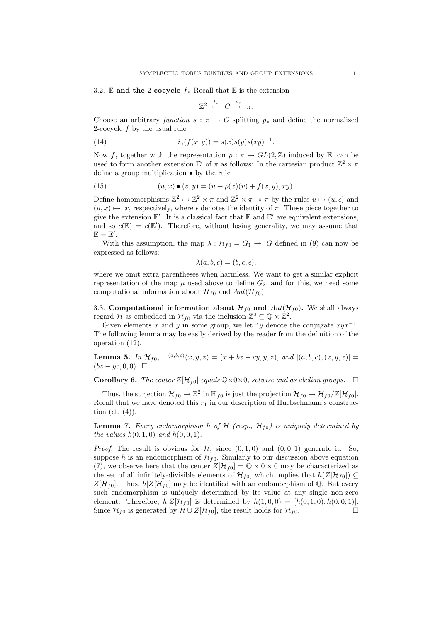#### 3.2.  $\mathbb E$  and the 2-cocycle f. Recall that  $\mathbb E$  is the extension

 $\mathbb{Z}^2 \ \stackrel{i_*}{\rightarrow} \ G \ \stackrel{p_*}{\twoheadrightarrow} \ \pi.$ 

Choose an arbitrary function  $s : \pi \to G$  splitting  $p_*$  and define the normalized 2-cocycle f by the usual rule

(14) 
$$
i_*(f(x,y)) = s(x)s(y)s(xy)^{-1}.
$$

Now f, together with the representation  $\rho : \pi \to GL(2,\mathbb{Z})$  induced by E, can be used to form another extension  $\mathbb{E}'$  of  $\pi$  as follows: In the cartesian product  $\mathbb{Z}^2 \times \pi$ define a group multiplication • by the rule

(15) 
$$
(u, x) \bullet (v, y) = (u + \rho(x)(v) + f(x, y), xy).
$$

Define homomorphisms  $\mathbb{Z}^2 \rightarrow \mathbb{Z}^2 \times \pi$  and  $\mathbb{Z}^2 \times \pi \to \pi$  by the rules  $u \mapsto (u, \epsilon)$  and  $(u, x) \mapsto x$ , respectively, where  $\epsilon$  denotes the identity of  $\pi$ . These piece together to give the extension  $\mathbb{E}'$ . It is a classical fact that  $\mathbb E$  and  $\mathbb E'$  are equivalent extensions, and so  $c(\mathbb{E}) = c(\mathbb{E}')$ . Therefore, without losing generality, we may assume that  $\mathbb{E} = \mathbb{E}'.$ 

With this assumption, the map  $\lambda : \mathcal{H}_{f0} = G_1 \rightarrow G$  defined in (9) can now be expressed as follows:

$$
\lambda(a, b, c) = (b, c, \epsilon),
$$

where we omit extra parentheses when harmless. We want to get a similar explicit representation of the map  $\mu$  used above to define  $G_2$ , and for this, we need some computational information about  $\mathcal{H}_{f0}$  and  $Aut(\mathcal{H}_{f0})$ .

3.3. Computational information about  $\mathcal{H}_{f0}$  and  $Aut(\mathcal{H}_{f0})$ . We shall always regard H as embedded in  $\mathcal{H}_{f0}$  via the inclusion  $\mathbb{Z}^3 \subseteq \mathbb{Q} \times \mathbb{Z}^2$ .

Given elements x and y in some group, we let  $xy$  denote the conjugate  $xyx^{-1}$ . The following lemma may be easily derived by the reader from the definition of the operation (12).

**Lemma 5.** In  $\mathcal{H}_{f0}$ ,  $(a,b,c)(x,y,z) = (x + bz - cy, y, z)$ , and  $[(a, b, c), (x, y, z)] =$  $(bz - y_c, 0, 0)$ .  $\Box$ 

**Corollary 6.** The center  $Z[\mathcal{H}_{f0}]$  equals  $\mathbb{Q}\times 0\times 0$ , setwise and as abelian groups.  $\Box$ 

Thus, the surjection  $\mathcal{H}_{f0} \to \mathbb{Z}^2$  in  $\mathbb{H}_{f0}$  is just the projection  $\mathcal{H}_{f0} \to \mathcal{H}_{f0}/Z[\mathcal{H}_{f0}]$ . Recall that we have denoted this  $r_1$  in our description of Huebschmann's construction (cf.  $(4)$ ).

**Lemma 7.** Every endomorphism h of  $H$  (resp.,  $H_{f0}$ ) is uniquely determined by the values  $h(0, 1, 0)$  and  $h(0, 0, 1)$ .

*Proof.* The result is obvious for  $H$ , since  $(0, 1, 0)$  and  $(0, 0, 1)$  generate it. So, suppose h is an endomorphism of  $\mathcal{H}_{f0}$ . Similarly to our discussion above equation (7), we observe here that the center  $Z[\mathcal{H}_{f0}] = \mathbb{Q} \times 0 \times 0$  may be characterized as the set of all infinitely-divisible elements of  $\mathcal{H}_{f0}$ , which implies that  $h(Z[\mathcal{H}_{f0}]) \subseteq$  $Z[\mathcal{H}_{f0}]$ . Thus,  $h|Z[\mathcal{H}_{f0}]$  may be identified with an endomorphism of  $\mathbb{Q}$ . But every such endomorphism is uniquely determined by its value at any single non-zero element. Therefore,  $h|Z[\mathcal{H}_{f0}]$  is determined by  $h(1,0,0) = [h(0,1,0), h(0,0,1)].$ Since  $\mathcal{H}_{f0}$  is generated by  $\mathcal{H} \cup Z[\mathcal{H}_{f0}]$ , the result holds for  $\mathcal{H}_{f0}$ .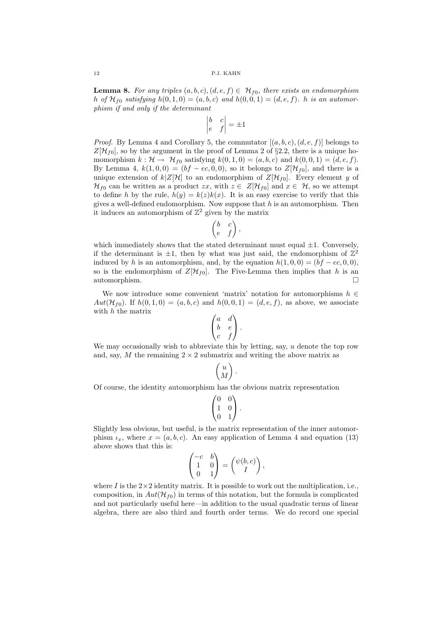**Lemma 8.** For any triples  $(a, b, c), (d, e, f) \in \mathcal{H}_{f0}$ , there exists an endomorphism h of  $\mathcal{H}_{f0}$  satisfying  $h(0, 1, 0) = (a, b, c)$  and  $h(0, 0, 1) = (d, e, f)$ . h is an automorphism if and only if the determinant

$$
\begin{vmatrix} b & c \\ e & f \end{vmatrix} = \pm 1
$$

*Proof.* By Lemma 4 and Corollary 5, the commutator  $[(a, b, c), (d, e, f)]$  belongs to  $Z[\mathcal{H}_{f0}]$ , so by the argument in the proof of Lemma 2 of §2.2, there is a unique homomorphism  $k : \mathcal{H} \to \mathcal{H}_{f0}$  satisfying  $k(0,1,0) = (a, b, c)$  and  $k(0,0,1) = (d, e, f)$ . By Lemma 4,  $k(1,0,0) = (bf - ec, 0, 0)$ , so it belongs to  $Z[\mathcal{H}_{f0}]$ , and there is a unique extension of  $k|Z[\mathcal{H}]$  to an endomorphism of  $Z[\mathcal{H}_{f0}]$ . Every element y of  $\mathcal{H}_{f0}$  can be written as a product zx, with  $z \in Z[\mathcal{H}_{f0}]$  and  $x \in \mathcal{H}$ , so we attempt to define h by the rule,  $h(y) = k(z)k(x)$ . It is an easy exercise to verify that this gives a well-defined endomorphism. Now suppose that  $h$  is an automorphism. Then it induces an automorphism of  $\mathbb{Z}^2$  given by the matrix

$$
\begin{pmatrix} b & c \\ e & f \end{pmatrix},
$$

which immediately shows that the stated determinant must equal  $\pm 1$ . Conversely, if the determinant is  $\pm 1$ , then by what was just said, the endomorphism of  $\mathbb{Z}^2$ induced by h is an automorphism, and, by the equation  $h(1, 0, 0) = (bf - ec, 0, 0)$ , so is the endomorphism of  $Z[\mathcal{H}_{f0}]$ . The Five-Lemma then implies that h is an automorphism.

We now introduce some convenient 'matrix' notation for automorphisms  $h \in$ Aut( $\mathcal{H}_{f0}$ ). If  $h(0, 1, 0) = (a, b, c)$  and  $h(0, 0, 1) = (d, e, f)$ , as above, we associate with  $h$  the matrix

$$
\begin{pmatrix} a & d \\ b & e \\ c & f \end{pmatrix}.
$$

We may occasionally wish to abbreviate this by letting, say,  $u$  denote the top row and, say, M the remaining  $2 \times 2$  submatrix and writing the above matrix as

$$
\begin{pmatrix} u \\ M \end{pmatrix}.
$$

Of course, the identity automorphism has the obvious matrix representation

$$
\begin{pmatrix} 0 & 0 \\ 1 & 0 \\ 0 & 1 \end{pmatrix}.
$$

Slightly less obvious, but useful, is the matrix representation of the inner automorphism  $\iota_x$ , where  $x = (a, b, c)$ . An easy application of Lemma 4 and equation (13) above shows that this is:

$$
\begin{pmatrix} -c & b \\ 1 & 0 \\ 0 & 1 \end{pmatrix} = \begin{pmatrix} \psi(b, c) \\ I \end{pmatrix},
$$

where I is the  $2\times 2$  identity matrix. It is possible to work out the multiplication, i.e., composition, in  $Aut(\mathcal{H}_{f0})$  in terms of this notation, but the formula is complicated and not particularly useful here—in addition to the usual quadratic terms of linear algebra, there are also third and fourth order terms. We do record one special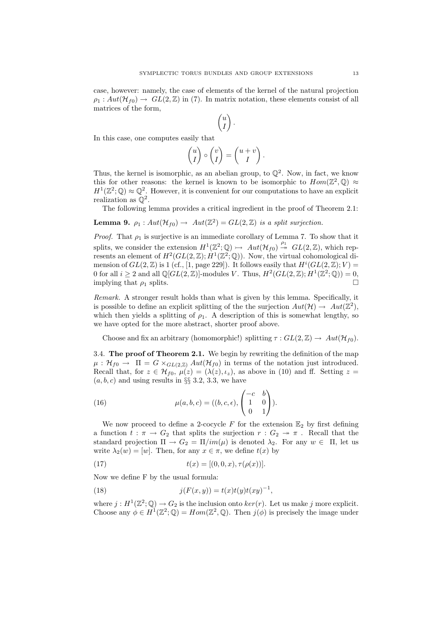case, however: namely, the case of elements of the kernel of the natural projection  $\rho_1: Aut(\mathcal{H}_{f0}) \to GL(2,\mathbb{Z})$  in (7). In matrix notation, these elements consist of all matrices of the form,

$$
\begin{pmatrix} u \\ I \end{pmatrix}.
$$

In this case, one computes easily that

$$
\begin{pmatrix} u \\ I \end{pmatrix} \circ \begin{pmatrix} v \\ I \end{pmatrix} = \begin{pmatrix} u+v \\ I \end{pmatrix}.
$$

Thus, the kernel is isomorphic, as an abelian group, to  $\mathbb{Q}^2$ . Now, in fact, we know this for other reasons: the kernel is known to be isomorphic to  $Hom(\mathbb{Z}^2, \mathbb{Q}) \approx$  $H^1(\mathbb{Z}^2;\mathbb{Q})\approx \mathbb{Q}^2$ . However, it is convenient for our computations to have an explicit realization as  $\mathbb{Q}^2$ .

The following lemma provides a critical ingredient in the proof of Theorem 2.1:

**Lemma 9.** 
$$
\rho_1: Aut(\mathcal{H}_{f0}) \to Aut(\mathbb{Z}^2) = GL(2, \mathbb{Z})
$$
 is a split surjection.

*Proof.* That  $\rho_1$  is surjective is an immediate corollary of Lemma 7. To show that it splits, we consider the extension  $H^1(\mathbb{Z}^2;\mathbb{Q}) \rightarrow Aut(\mathcal{H}_{f0}) \stackrel{\rho_1}{\rightarrow} GL(2,\mathbb{Z})$ , which represents an element of  $H^2(GL(2,\mathbb{Z}); H^1(\mathbb{Z}^2;\mathbb{Q})$ . Now, the virtual cohomological dimension of  $GL(2, \mathbb{Z})$  is 1 (cf., [1, page 229]). It follows easily that  $H^{i}(GL(2, \mathbb{Z}); V)$  = 0 for all  $i \geq 2$  and all  $\mathbb{Q}[GL(2,\mathbb{Z})]$ -modules V. Thus,  $H^2(GL(2,\mathbb{Z});H^1(\mathbb{Z}^2;\mathbb{Q}))=0$ , implying that  $\rho_1$  splits.

Remark. A stronger result holds than what is given by this lemma. Specifically, it is possible to define an explicit splitting of the the surjection  $Aut(\mathcal{H}) \to Aut(\mathbb{Z}^2)$ , which then yields a splitting of  $\rho_1$ . A description of this is somewhat lengthy, so we have opted for the more abstract, shorter proof above.

Choose and fix an arbitrary (homomorphic!) splitting  $\tau : GL(2, \mathbb{Z}) \to Aut(\mathcal{H}_{f0})$ .

3.4. The proof of Theorem 2.1. We begin by rewriting the definition of the map  $\mu : \mathcal{H}_{f0} \to \Pi = G \times_{GL(2,\mathbb{Z})} Aut(\mathcal{H}_{f0})$  in terms of the notation just introduced. Recall that, for  $z \in \mathcal{H}_{f0}$ ,  $\mu(z) = (\lambda(z), i_z)$ , as above in (10) and ff. Setting  $z =$  $(a, b, c)$  and using results in §§ 3.2, 3.3, we have

(16) 
$$
\mu(a,b,c) = ((b,c,\epsilon), \begin{pmatrix} -c & b \\ 1 & 0 \\ 0 & 1 \end{pmatrix}).
$$

We now proceed to define a 2-cocycle F for the extension  $\mathbb{E}_2$  by first defining a function  $t : \pi \to G_2$  that splits the surjection  $r : G_2 \twoheadrightarrow \pi$ . Recall that the standard projection  $\Pi \to G_2 = \Pi / im(\mu)$  is denoted  $\lambda_2$ . For any  $w \in \Pi$ , let us write  $\lambda_2(w) = [w]$ . Then, for any  $x \in \pi$ , we define  $t(x)$  by

(17) 
$$
t(x) = [(0, 0, x), \tau(\rho(x))].
$$

Now we define F by the usual formula:

(18) 
$$
j(F(x, y)) = t(x)t(y)t(xy)^{-1},
$$

where  $j: H^1(\mathbb{Z}^2;\mathbb{Q}) \to G_2$  is the inclusion onto  $ker(r)$ . Let us make j more explicit. Choose any  $\phi \in H^1(\mathbb{Z}^2;\mathbb{Q}) = Hom(\mathbb{Z}^2,\mathbb{Q})$ . Then  $j(\phi)$  is precisely the image under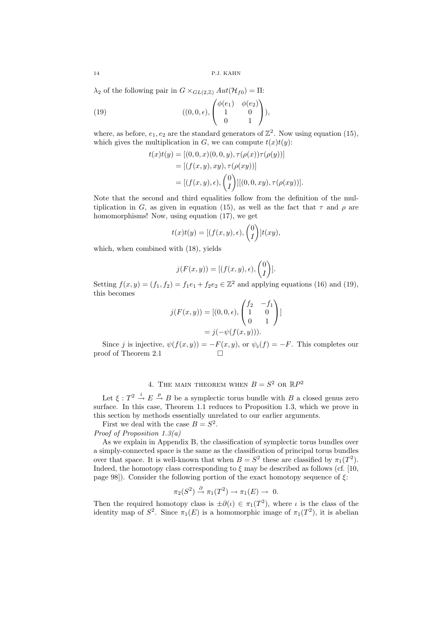$\lambda_2$  of the following pair in  $G \times_{GL(2,\mathbb{Z})} Aut(\mathcal{H}_{f0}) = \Pi$ :

(19) 
$$
((0,0,\epsilon),\begin{pmatrix} \phi(e_1) & \phi(e_2) \\ 1 & 0 \\ 0 & 1 \end{pmatrix}),
$$

where, as before,  $e_1, e_2$  are the standard generators of  $\mathbb{Z}^2$ . Now using equation (15), which gives the multiplication in G, we can compute  $t(x)t(y)$ :

$$
t(x)t(y) = [(0, 0, x)(0, 0, y), \tau(\rho(x))\tau(\rho(y))]
$$
  
= [(f(x, y), xy), \tau(\rho(xy))]  
= [(f(x, y), \epsilon), {0 \choose I}][(0, 0, xy), \tau(\rho(xy))].

Note that the second and third equalities follow from the definition of the multiplication in G, as given in equation (15), as well as the fact that  $\tau$  and  $\rho$  are homomorphisms! Now, using equation (17), we get

$$
t(x)t(y) = [(f(x,y), \epsilon), {0 \choose I}]t(xy),
$$

which, when combined with (18), yields

$$
j(F(x,y)) = [(f(x,y), \epsilon), {0 \choose I}].
$$

Setting  $f(x, y) = (f_1, f_2) = f_1 e_1 + f_2 e_2 \in \mathbb{Z}^2$  and applying equations (16) and (19), this becomes

$$
j(F(x, y)) = [(0, 0, \epsilon), \begin{pmatrix} f_2 & -f_1 \\ 1 & 0 \\ 0 & 1 \end{pmatrix}]
$$
  
=  $j(-\psi(f(x, y))).$ 

Since j is injective,  $\psi(f(x, y)) = -F(x, y)$ , or  $\psi_b(f) = -F$ . This completes our proof of Theorem 2.1

# 4. THE MAIN THEOREM WHEN  $B = S^2$  OR  $\mathbb{R}P^2$

Let  $\xi: T^2 \stackrel{i}{\to} E \stackrel{p}{\to} B$  be a symplectic torus bundle with B a closed genus zero surface. In this case, Theorem 1.1 reduces to Proposition 1.3, which we prove in this section by methods essentially unrelated to our earlier arguments.

First we deal with the case  $B = S^2$ .

Proof of Proposition 1.3(a)

As we explain in Appendix B, the classification of symplectic torus bundles over a simply-connected space is the same as the classification of principal torus bundles over that space. It is well-known that when  $B = S^2$  these are classified by  $\pi_1(T^2)$ . Indeed, the homotopy class corresponding to  $\xi$  may be described as follows (cf. [10, page 98]). Consider the following portion of the exact homotopy sequence of  $\xi$ :

$$
\pi_2(S^2) \stackrel{\partial}{\to} \pi_1(T^2) \to \pi_1(E) \to 0.
$$

Then the required homotopy class is  $\pm\partial(\iota) \in \pi_1(T^2)$ , where  $\iota$  is the class of the identity map of  $S^2$ . Since  $\pi_1(E)$  is a homomorphic image of  $\pi_1(T^2)$ , it is abelian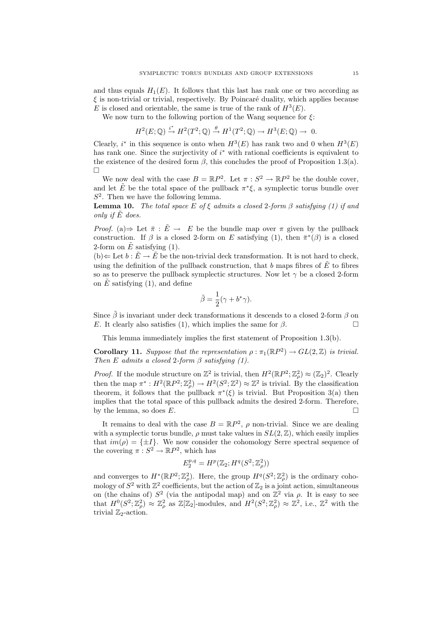and thus equals  $H_1(E)$ . It follows that this last has rank one or two according as  $\xi$  is non-trivial or trivial, respectively. By Poincaré duality, which applies because E is closed and orientable, the same is true of the rank of  $H^3(E)$ .

We now turn to the following portion of the Wang sequence for  $\xi$ :

$$
H^2(E; \mathbb{Q}) \xrightarrow{i^*} H^2(T^2; \mathbb{Q}) \xrightarrow{\theta} H^1(T^2; \mathbb{Q}) \to H^3(E; \mathbb{Q}) \to 0.
$$

Clearly,  $i^*$  in this sequence is onto when  $H^3(E)$  has rank two and 0 when  $H^3(E)$ has rank one. Since the surjectivity of  $i^*$  with rational coefficients is equivalent to the existence of the desired form  $\beta$ , this concludes the proof of Proposition 1.3(a). П

We now deal with the case  $B = \mathbb{R}P^2$ . Let  $\pi : S^2 \to \mathbb{R}P^2$  be the double cover, and let  $\tilde{E}$  be the total space of the pullback  $\pi^*\xi$ , a symplectic torus bundle over  $S<sup>2</sup>$ . Then we have the following lemma.

**Lemma 10.** The total space E of  $\xi$  admits a closed 2-form  $\beta$  satisfying (1) if and only if  $\tilde{E}$  does.

*Proof.* (a)  $\Rightarrow$  Let  $\bar{\pi}$  :  $\tilde{E} \rightarrow E$  be the bundle map over  $\pi$  given by the pullback construction. If  $\beta$  is a closed 2-form on E satisfying (1), then  $\bar{\pi}^*(\beta)$  is a closed 2-form on  $\tilde{E}$  satisfying (1).

(b)  $\Leftarrow$  Let  $b : \tilde{E} \to \tilde{E}$  be the non-trivial deck transformation. It is not hard to check, using the definition of the pullback construction, that b maps fibres of  $\tilde{E}$  to fibres so as to preserve the pullback symplectic structures. Now let  $\gamma$  be a closed 2-form on  $\hat{E}$  satisfying (1), and define

$$
\tilde{\beta} = \frac{1}{2}(\gamma + b^*\gamma).
$$

Since  $\tilde{\beta}$  is invariant under deck transformations it descends to a closed 2-form  $\beta$  on E. It clearly also satisfies (1), which implies the same for  $\beta$ .

This lemma immediately implies the first statement of Proposition 1.3(b).

**Corollary 11.** Suppose that the representation  $\rho : \pi_1(\mathbb{R}P^2) \to GL(2,\mathbb{Z})$  is trivial. Then E admits a closed 2-form  $\beta$  satisfying (1).

*Proof.* If the module structure on  $\mathbb{Z}^2$  is trivial, then  $H^2(\mathbb{R}P^2;\mathbb{Z}_\rho^2)\approx (\mathbb{Z}_2)^2$ . Clearly then the map  $\pi^*: H^2(\mathbb{R}P^2; \mathbb{Z}_\rho^2) \to H^2(S^2; \mathbb{Z}^2) \approx \mathbb{Z}^2$  is trivial. By the classification theorem, it follows that the pullback  $\pi^*(\xi)$  is trivial. But Proposition 3(a) then implies that the total space of this pullback admits the desired 2-form. Therefore, by the lemma, so does  $E$ .

It remains to deal with the case  $B = \mathbb{R}P^2$ ,  $\rho$  non-trivial. Since we are dealing with a symplectic torus bundle,  $\rho$  must take values in  $SL(2,\mathbb{Z})$ , which easily implies that  $im(\rho) = {\pm I}$ . We now consider the cohomology Serre spectral sequence of the covering  $\pi: S^2 \to \mathbb{R}P^2$ , which has

$$
E_2^{p,q} = H^p(\mathbb{Z}_2; H^q(S^2; \mathbb{Z}_\rho^2))
$$

and converges to  $H^*(\mathbb{R}P^2;\mathbb{Z}_{\rho}^2)$ . Here, the group  $H^q(S^2;\mathbb{Z}_{\rho}^2)$  is the ordinary cohomology of  $S^2$  with  $\mathbb{Z}^2$  coefficients, but the action of  $\mathbb{Z}_2$  is a joint action, simultaneous on (the chains of)  $S^2$  (via the antipodal map) and on  $\mathbb{Z}^2$  via  $\rho$ . It is easy to see that  $H^0(S^2; \mathbb{Z}_{\rho}^2) \approx \mathbb{Z}_{\rho}^2$  as  $\mathbb{Z}[\mathbb{Z}_2]$ -modules, and  $H^2(S^2; \mathbb{Z}_{\rho}^2) \approx \mathbb{Z}^2$ , i.e.,  $\mathbb{Z}^2$  with the trivial  $\mathbb{Z}_2$ -action.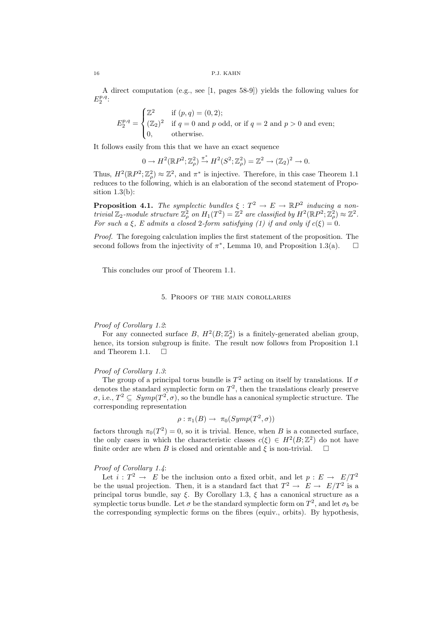A direct computation (e.g., see [1, pages 58-9]) yields the following values for  $E_2^{p,q}$ :

$$
E_2^{p,q} = \begin{cases} \mathbb{Z}^2 & \text{if } (p,q) = (0,2); \\ (\mathbb{Z}_2)^2 & \text{if } q = 0 \text{ and } p \text{ odd, or if } q = 2 \text{ and } p > 0 \text{ and even}; \\ 0, & \text{otherwise.} \end{cases}
$$

It follows easily from this that we have an exact sequence

$$
0 \to H^2(\mathbb{R}P^2; \mathbb{Z}_{\rho}^2) \xrightarrow{\pi^*} H^2(S^2; \mathbb{Z}_{\rho}^2) = \mathbb{Z}^2 \to (\mathbb{Z}_2)^2 \to 0.
$$

Thus,  $H^2(\mathbb{R}P^2;\mathbb{Z}_\rho^2)\approx\mathbb{Z}^2$ , and  $\pi^*$  is injective. Therefore, in this case Theorem 1.1 reduces to the following, which is an elaboration of the second statement of Proposition  $1.3(b)$ :

**Proposition 4.1.** The symplectic bundles  $\xi : T^2 \to E \to \mathbb{R}P^2$  inducing a nontrivial  $\mathbb{Z}_2$ -module structure  $\mathbb{Z}_\rho^2$  on  $H_1(T^2) = \mathbb{Z}^2$  are classified by  $H^2(\mathbb{R}P^2;\mathbb{Z}_\rho^2) \approx \mathbb{Z}^2$ . For such a  $\xi$ , E admits a closed 2-form satisfying (1) if and only if  $c(\xi) = 0$ .

Proof. The foregoing calculation implies the first statement of the proposition. The second follows from the injectivity of  $\pi^*$ , Lemma 10, and Proposition 1.3(a).  $\square$ 

This concludes our proof of Theorem 1.1.

#### 5. Proofs of the main corollaries

#### Proof of Corollary 1.2:

For any connected surface B,  $H^2(B; \mathbb{Z}_\rho^2)$  is a finitely-generated abelian group, hence, its torsion subgroup is finite. The result now follows from Proposition 1.1 and Theorem 1.1.  $\Box$ 

### Proof of Corollary 1.3:

The group of a principal torus bundle is  $T^2$  acting on itself by translations. If  $\sigma$ denotes the standard symplectic form on  $T^2$ , then the translations clearly preserve  $\sigma$ , i.e.,  $T^2 \subseteq Symp(T^2, \sigma)$ , so the bundle has a canonical symplectic structure. The corresponding representation

$$
\rho : \pi_1(B) \to \pi_0(Symp(T^2, \sigma))
$$

factors through  $\pi_0(T^2) = 0$ , so it is trivial. Hence, when B is a connected surface, the only cases in which the characteristic classes  $c(\xi) \in H^2(B; \mathbb{Z}^2)$  do not have finite order are when B is closed and orientable and  $\xi$  is non-trivial.  $\Box$ 

# Proof of Corollary 1.4:

Let  $i: T^2 \to E$  be the inclusion onto a fixed orbit, and let  $p: E \to E/T^2$ be the usual projection. Then, it is a standard fact that  $T^2 \to E \to E/T^2$  is a principal torus bundle, say  $\xi$ . By Corollary 1.3,  $\xi$  has a canonical structure as a symplectic torus bundle. Let  $\sigma$  be the standard symplectic form on  $T^2$ , and let  $\sigma_b$  be the corresponding symplectic forms on the fibres (equiv., orbits). By hypothesis,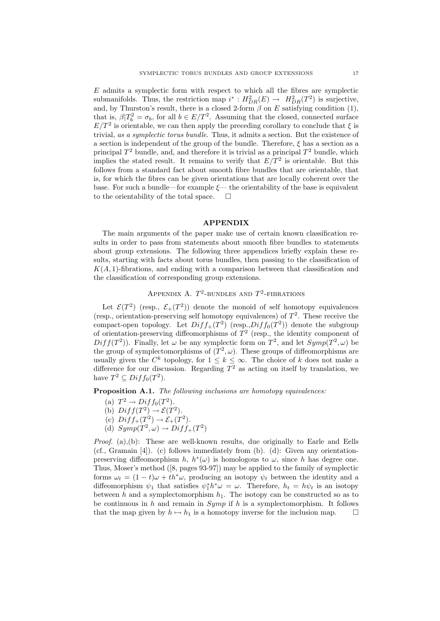$E$  admits a symplectic form with respect to which all the fibres are symplectic submanifolds. Thus, the restriction map  $i^* : H^2_{DR}(E) \to H^2_{DR}(T^2)$  is surjective, and, by Thurston's result, there is a closed 2-form  $\beta$  on E satisfying condition (1), that is,  $\beta | T_b^2 = \sigma_b$ , for all  $b \in E/T^2$ . Assuming that the closed, connected surface  $E/T^2$  is orientable, we can then apply the preceding corollary to conclude that  $\xi$  is trivial, as a symplectic torus bundle. Thus, it admits a section. But the existence of a section is independent of the group of the bundle. Therefore,  $\xi$  has a section as a principal  $T^2$  bundle, and, and therefore it is trivial as a principal  $T^2$  bundle, which implies the stated result. It remains to verify that  $E/T^2$  is orientable. But this follows from a standard fact about smooth fibre bundles that are orientable, that is, for which the fibres can be given orientations that are locally coherent over the base. For such a bundle—for example  $\xi$ — the orientability of the base is equivalent to the orientability of the total space.  $\Box$ 

### APPENDIX

The main arguments of the paper make use of certain known classification results in order to pass from statements about smooth fibre bundles to statements about group extensions. The following three appendices briefly explain these results, starting with facts about torus bundles, then passing to the classification of  $K(A, 1)$ -fibrations, and ending with a comparison between that classification and the classification of corresponding group extensions.

# APPENDIX A.  $T^2$ -BUNDLES AND  $T^2$ -FIBRATIONS

Let  $\mathcal{E}(T^2)$  (resp.,  $\mathcal{E}_+(T^2)$ ) denote the monoid of self homotopy equivalences (resp., orientation-preserving self homotopy equivalences) of  $T^2$ . These receive the compact-open topology. Let  $Diff_+(T^2)$  (resp.,  $Diff_0(T^2)$ ) denote the subgroup of orientation-preserving diffeomorphisms of  $T<sup>2</sup>$  (resp., the identity component of  $Diff(T^2)$ . Finally, let  $\omega$  be any symplectic form on  $T^2$ , and let  $Symp(T^2, \omega)$  be the group of symplectomorphisms of  $(T^2, \omega)$ . These groups of diffeomorphisms are usually given the  $C^k$  topology, for  $1 \leq k \leq \infty$ . The choice of k does not make a difference for our discussion. Regarding  $T^2$  as acting on itself by translation, we have  $T^2 \subseteq Diff_0(T^2)$ .

Proposition A.1. The following inclusions are homotopy equivalences:

- (a)  $T^2 \rightarrow Diff_0(T^2)$ .
- (b)  $Diff(T^2) \rightarrow \mathcal{E}(T^2)$ .
- (c)  $Diff_+(T^2) \to \mathcal{E}_+(T^2)$ .
- (d)  $Symp(T^2, \omega) \rightarrow Diff_+(T^2)$

Proof. (a), (b): These are well-known results, due originally to Earle and Eells (cf., Gramain [4]). (c) follows immediately from (b). (d): Given any orientationpreserving diffeomorphism h,  $h^*(\omega)$  is homologous to  $\omega$ , since h has degree one. Thus, Moser's method ([8, pages 93-97]) may be applied to the family of symplectic forms  $\omega_t = (1 - t)\omega + th^*\omega$ , producing an isotopy  $\psi_t$  between the identity and a diffeomorphism  $\psi_1$  that satisfies  $\psi_1^* h^* \omega = \omega$ . Therefore,  $h_t = h \psi_t$  is an isotopy between h and a symplectomorphism  $h_1$ . The isotopy can be constructed so as to be continuous in  $h$  and remain in  $Symp$  if  $h$  is a symplectomorphism. It follows that the map given by  $h \mapsto h_1$  is a homotopy inverse for the inclusion map.  $\square$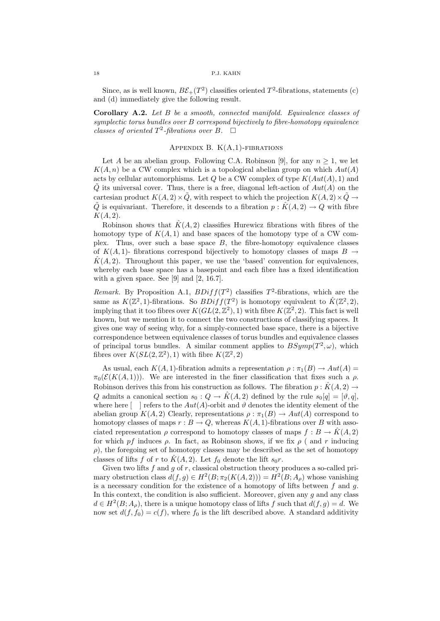Since, as is well known,  $B\mathcal{E}_+(T^2)$  classifies oriented  $T^2$ -fibrations, statements (c) and (d) immediately give the following result.

Corollary A.2. Let B be a smooth, connected manifold. Equivalence classes of symplectic torus bundles over B correspond bijectively to fibre-homotopy equivalence classes of oriented  $T^2$ -fibrations over B.  $\Box$ 

## APPENDIX B.  $K(A,1)$ -FIBRATIONS

Let A be an abelian group. Following C.A. Robinson [9], for any  $n \geq 1$ , we let  $K(A, n)$  be a CW complex which is a topological abelian group on which  $Aut(A)$ acts by cellular automorphisms. Let  $Q$  be a CW complex of type  $K(Aut(A), 1)$  and  $\ddot{Q}$  its universal cover. Thus, there is a free, diagonal left-action of  $Aut(A)$  on the cartesian product  $K(A, 2) \times \tilde{Q}$ , with respect to which the projection  $K(A, 2) \times \tilde{Q} \rightarrow$  $\tilde{Q}$  is equivariant. Therefore, it descends to a fibration  $p : \hat{K}(A, 2) \to Q$  with fibre  $K(A, 2)$ .

Robinson shows that  $\hat{K}(A, 2)$  classifies Hurewicz fibrations with fibres of the homotopy type of  $K(A, 1)$  and base spaces of the homotopy type of a CW complex. Thus, over such a base space  $B$ , the fibre-homotopy equivalence classes of  $K(A, 1)$ - fibrations correspond bijectively to homotopy classes of maps  $B \to$  $K(A, 2)$ . Throughout this paper, we use the 'based' convention for equivalences, whereby each base space has a basepoint and each fibre has a fixed identification with a given space. See [9] and [2, 16.7].

Remark. By Proposition A.1,  $BDiff(T^2)$  classifies  $T^2$ -fibrations, which are the same as  $K(\mathbb{Z}^2, 1)$ -fibrations. So  $BDiff(T^2)$  is homotopy equivalent to  $\hat{K}(\mathbb{Z}^2, 2)$ , implying that it too fibres over  $K(GL(2,\mathbb{Z}^2),1)$  with fibre  $K(\mathbb{Z}^2,2)$ . This fact is well known, but we mention it to connect the two constructions of classifying spaces. It gives one way of seeing why, for a simply-connected base space, there is a bijective correspondence between equivalence classes of torus bundles and equivalence classes of principal torus bundles. A similar comment applies to  $BSymp(T^2, \omega)$ , which fibres over  $K(SL(2, \mathbb{Z}^2), 1)$  with fibre  $K(\mathbb{Z}^2, 2)$ 

As usual, each  $K(A, 1)$ -fibration admits a representation  $\rho : \pi_1(B) \to Aut(A)$  $\pi_0(\mathcal{E}(K(A,1)))$ . We are interested in the finer classification that fixes such a  $\rho$ . Robinson derives this from his construction as follows. The fibration  $p : \hat{K}(A, 2) \rightarrow$ Q admits a canonical section  $s_0: Q \to \hat{K}(A, 2)$  defined by the rule  $s_0[q] = [\vartheta, q],$ where here  $\lceil \cdot \rceil$  refers to the  $Aut(A)$ -orbit and  $\vartheta$  denotes the identity element of the abelian group  $K(A, 2)$  Clearly, representations  $\rho : \pi_1(B) \to Aut(A)$  correspond to homotopy classes of maps  $r : B \to Q$ , whereas  $K(A, 1)$ -fibrations over B with associated representation  $\rho$  correspond to homotopy classes of maps  $f : B \to K(A, 2)$ for which pf induces  $\rho$ . In fact, as Robinson shows, if we fix  $\rho$  (and r inducing  $\rho$ ), the foregoing set of homotopy classes may be described as the set of homotopy classes of lifts f of r to  $\hat{K}(A, 2)$ . Let  $f_0$  denote the lift  $s_0r$ .

Given two lifts  $f$  and  $g$  of  $r$ , classical obstruction theory produces a so-called primary obstruction class  $d(f, g) \in H^2(B; \pi_2(K(A, 2))) = H^2(B; A_\rho)$  whose vanishing is a necessary condition for the existence of a homotopy of lifts between  $f$  and  $g$ . In this context, the condition is also sufficient. Moreover, given any  $g$  and any class  $d \in H^2(B; A_\rho)$ , there is a unique homotopy class of lifts f such that  $d(f, g) = d$ . We now set  $d(f, f_0) = c(f)$ , where  $f_0$  is the lift described above. A standard additivity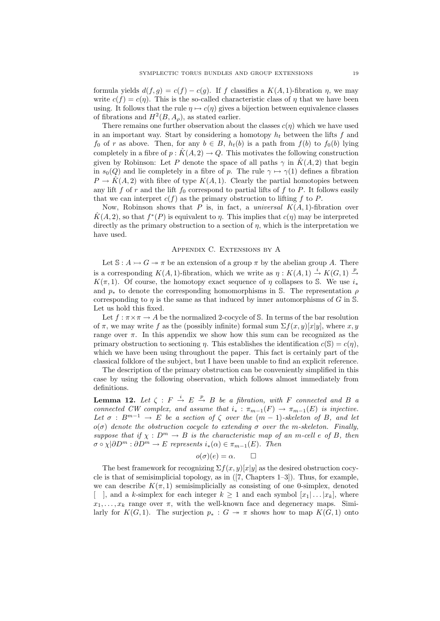formula yields  $d(f, g) = c(f) - c(g)$ . If f classifies a  $K(A, 1)$ -fibration  $\eta$ , we may write  $c(f) = c(\eta)$ . This is the so-called characteristic class of  $\eta$  that we have been using. It follows that the rule  $\eta \mapsto c(\eta)$  gives a bijection between equivalence classes of fibrations and  $H^2(B, A_\rho)$ , as stated earlier.

There remains one further observation about the classes  $c(\eta)$  which we have used in an important way. Start by considering a homotopy  $h_t$  between the lifts f and  $f_0$  of r as above. Then, for any  $b \in B$ ,  $h_t(b)$  is a path from  $f(b)$  to  $f_0(b)$  lying completely in a fibre of  $p : \tilde{K}(A, 2) \to Q$ . This motivates the following construction given by Robinson: Let P denote the space of all paths  $\gamma$  in  $\hat{K}(A, 2)$  that begin in  $s_0(Q)$  and lie completely in a fibre of p. The rule  $\gamma \mapsto \gamma(1)$  defines a fibration  $P \to \hat{K}(A, 2)$  with fibre of type  $K(A, 1)$ . Clearly the partial homotopies between any lift f of r and the lift  $f_0$  correspond to partial lifts of f to P. It follows easily that we can interpret  $c(f)$  as the primary obstruction to lifting f to P.

Now, Robinson shows that P is, in fact, a *universal*  $K(A, 1)$ -fibration over  $\hat{K}(A, 2)$ , so that  $f^*(P)$  is equivalent to  $\eta$ . This implies that  $c(\eta)$  may be interpreted directly as the primary obstruction to a section of  $\eta$ , which is the interpretation we have used.

## Appendix C. Extensions by A

Let  $\mathcal{S}: A \rightarrowtail G \twoheadrightarrow \pi$  be an extension of a group  $\pi$  by the abelian group A. There is a corresponding  $K(A, 1)$ -fibration, which we write as  $n : K(A, 1) \stackrel{i}{\rightarrow} K(G, 1) \stackrel{p}{\rightarrow}$ K( $\pi$ , 1). Of course, the homotopy exact sequence of  $\eta$  collapses to S. We use  $i_*$ and  $p_*$  to denote the corresponding homomorphisms in S. The representation  $\rho$ corresponding to  $\eta$  is the same as that induced by inner automorphisms of G in S. Let us hold this fixed.

Let  $f : \pi \times \pi \to A$  be the normalized 2-cocycle of S. In terms of the bar resolution of  $\pi$ , we may write f as the (possibly infinite) formal sum  $\Sigma f(x, y)[x|y]$ , where x, y range over  $\pi$ . In this appendix we show how this sum can be recognized as the primary obstruction to sectioning  $\eta$ . This establishes the identification  $c(S) = c(\eta)$ , which we have been using throughout the paper. This fact is certainly part of the classical folklore of the subject, but I have been unable to find an explicit reference.

The description of the primary obstruction can be conveniently simplified in this case by using the following observation, which follows almost immediately from definitions.

**Lemma 12.** Let  $\zeta : F \stackrel{i}{\to} E \stackrel{p}{\to} B$  be a fibration, with F connected and B a connected CW complex, and assume that  $i_* : \pi_{m-1}(F) \to \pi_{m-1}(E)$  is injective. Let  $\sigma : B^{m-1} \to E$  be a section of  $\zeta$  over the  $(m-1)$ -skeleton of B, and let  $o(\sigma)$  denote the obstruction cocycle to extending  $\sigma$  over the m-skeleton. Finally, suppose that if  $\chi : D^m \to B$  is the characteristic map of an m-cell e of B, then  $\sigma \circ \chi | \partial D^m : \partial D^m \to E$  represents  $i_*(\alpha) \in \pi_{m-1}(E)$ . Then

$$
o(\sigma)(e) = \alpha. \qquad \Box
$$

The best framework for recognizing  $\sum f(x, y)[x|y]$  as the desired obstruction cocycle is that of semisimplicial topology, as in ([7, Chapters 1–3]). Thus, for example, we can describe  $K(\pi, 1)$  semisimplicially as consisting of one 0-simplex, denoted [ ], and a k-simplex for each integer  $k \geq 1$  and each symbol  $[x_1 | \dots | x_k]$ , where  $x_1, \ldots, x_k$  range over  $\pi$ , with the well-known face and degeneracy maps. Similarly for  $K(G, 1)$ . The surjection  $p_* : G \twoheadrightarrow \pi$  shows how to map  $K(G, 1)$  onto